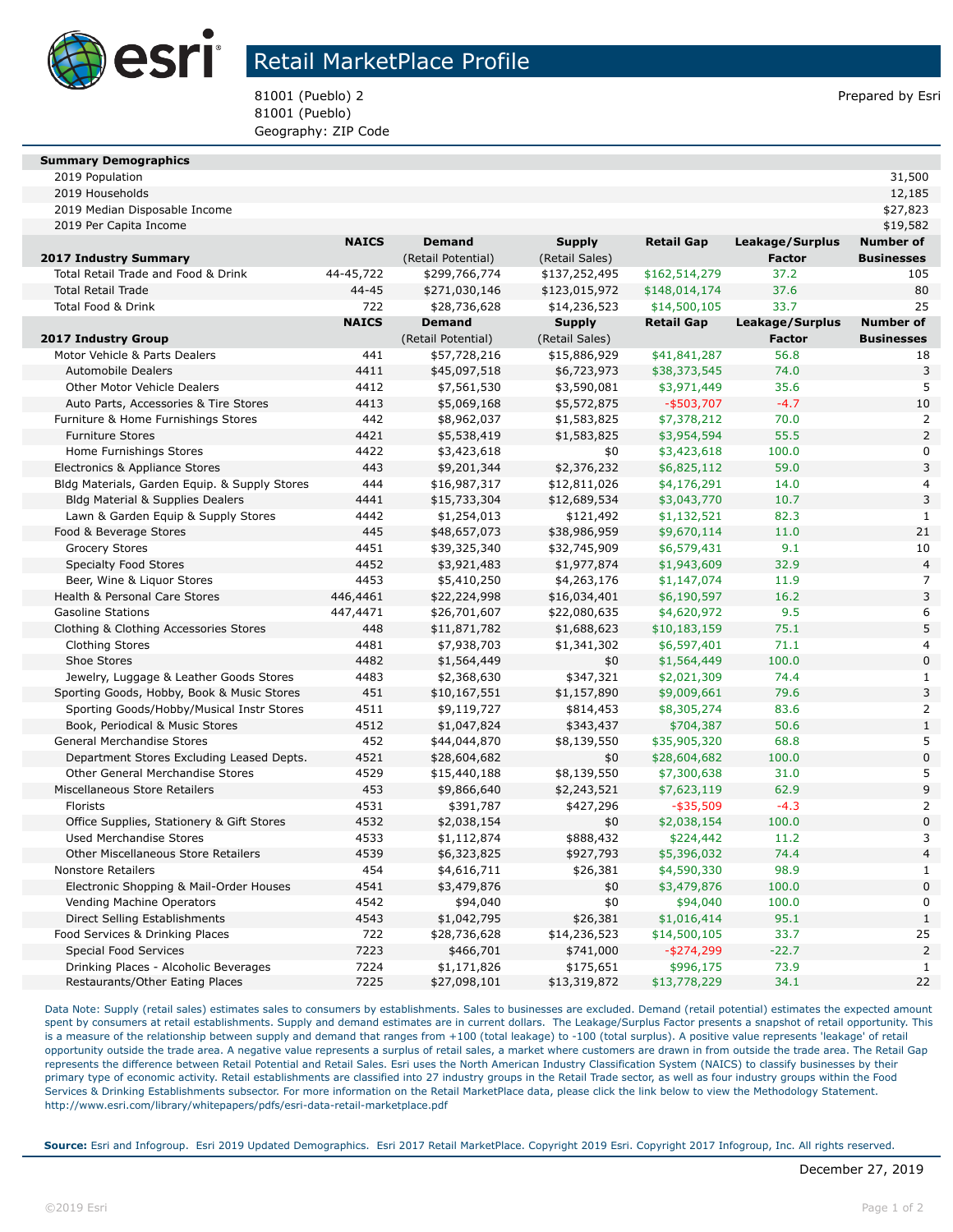

## Retail MarketPlace Profile

81001 (Pueblo) 2 **Prepared by Esri** Prepared by Esri 81001 (Pueblo) Geography: ZIP Code

| <b>Summary Demographics</b> |  |
|-----------------------------|--|

|              |                                                                             |                                             |                                                  |                                                                           | 12,185                                                                                                |
|--------------|-----------------------------------------------------------------------------|---------------------------------------------|--------------------------------------------------|---------------------------------------------------------------------------|-------------------------------------------------------------------------------------------------------|
|              |                                                                             |                                             |                                                  |                                                                           | \$27,823                                                                                              |
|              |                                                                             |                                             |                                                  |                                                                           | \$19,582                                                                                              |
| <b>NAICS</b> | <b>Demand</b>                                                               | <b>Supply</b>                               | <b>Retail Gap</b>                                |                                                                           | <b>Number of</b>                                                                                      |
|              | (Retail Potential)                                                          | (Retail Sales)                              |                                                  | <b>Factor</b>                                                             | <b>Businesses</b>                                                                                     |
| 44-45,722    | \$299,766,774                                                               | \$137,252,495                               | \$162,514,279                                    | 37.2                                                                      | 105                                                                                                   |
| $44 - 45$    | \$271,030,146                                                               | \$123,015,972                               | \$148,014,174                                    | 37.6                                                                      | 80                                                                                                    |
| 722          | \$28,736,628                                                                | \$14,236,523                                | \$14,500,105                                     | 33.7                                                                      | 25                                                                                                    |
| <b>NAICS</b> | <b>Demand</b>                                                               | <b>Supply</b>                               | <b>Retail Gap</b>                                | Leakage/Surplus                                                           | <b>Number of</b>                                                                                      |
|              | (Retail Potential)                                                          | (Retail Sales)                              |                                                  | <b>Factor</b>                                                             | <b>Businesses</b>                                                                                     |
| 441          | \$57,728,216                                                                | \$15,886,929                                | \$41,841,287                                     | 56.8                                                                      | 18                                                                                                    |
| 4411         | \$45,097,518                                                                | \$6,723,973                                 | \$38,373,545                                     | 74.0                                                                      | 3                                                                                                     |
| 4412         | \$7,561,530                                                                 | \$3,590,081                                 | \$3,971,449                                      | 35.6                                                                      | 5                                                                                                     |
| 4413         | \$5,069,168                                                                 | \$5,572,875                                 | $-$ \$503,707                                    | $-4.7$                                                                    | 10                                                                                                    |
| 442          | \$8,962,037                                                                 | \$1,583,825                                 | \$7,378,212                                      | 70.0                                                                      | 2                                                                                                     |
| 4421         | \$5,538,419                                                                 | \$1,583,825                                 | \$3,954,594                                      | 55.5                                                                      | $\overline{a}$                                                                                        |
| 4422         | \$3,423,618                                                                 | \$0                                         | \$3,423,618                                      | 100.0                                                                     | 0                                                                                                     |
| 443          | \$9,201,344                                                                 | \$2,376,232                                 | \$6,825,112                                      | 59.0                                                                      | 3                                                                                                     |
| 444          | \$16,987,317                                                                | \$12,811,026                                | \$4,176,291                                      | 14.0                                                                      | 4                                                                                                     |
| 4441         | \$15,733,304                                                                | \$12,689,534                                | \$3,043,770                                      | 10.7                                                                      | 3                                                                                                     |
| 4442         | \$1,254,013                                                                 | \$121,492                                   | \$1,132,521                                      | 82.3                                                                      | $\mathbf{1}$                                                                                          |
| 445          | \$48,657,073                                                                | \$38,986,959                                | \$9,670,114                                      | 11.0                                                                      | 21                                                                                                    |
| 4451         | \$39,325,340                                                                | \$32,745,909                                | \$6,579,431                                      | 9.1                                                                       | 10                                                                                                    |
| 4452         | \$3,921,483                                                                 | \$1,977,874                                 | \$1,943,609                                      | 32.9                                                                      | $\overline{\mathcal{L}}$                                                                              |
| 4453         | \$5,410,250                                                                 | \$4,263,176                                 | \$1,147,074                                      | 11.9                                                                      | 7                                                                                                     |
| 446,4461     | \$22,224,998                                                                | \$16,034,401                                | \$6,190,597                                      | 16.2                                                                      | 3                                                                                                     |
| 447,4471     | \$26,701,607                                                                | \$22,080,635                                | \$4,620,972                                      | 9.5                                                                       | 6                                                                                                     |
| 448          | \$11,871,782                                                                | \$1,688,623                                 | \$10,183,159                                     | 75.1                                                                      | 5                                                                                                     |
| 4481         | \$7,938,703                                                                 | \$1,341,302                                 | \$6,597,401                                      | 71.1                                                                      | 4                                                                                                     |
| 4482         | \$1,564,449                                                                 | \$0                                         | \$1,564,449                                      | 100.0                                                                     | $\overline{0}$                                                                                        |
| 4483         | \$2,368,630                                                                 | \$347,321                                   | \$2,021,309                                      | 74.4                                                                      | $\mathbf{1}$                                                                                          |
| 451          | \$10,167,551                                                                | \$1,157,890                                 | \$9,009,661                                      | 79.6                                                                      | 3                                                                                                     |
| 4511         | \$9,119,727                                                                 | \$814,453                                   | \$8,305,274                                      | 83.6                                                                      | $\overline{a}$                                                                                        |
| 4512         | \$1,047,824                                                                 | \$343,437                                   | \$704,387                                        | 50.6                                                                      | $\mathbf{1}$                                                                                          |
| 452          | \$44,044,870                                                                | \$8,139,550                                 | \$35,905,320                                     | 68.8                                                                      | 5                                                                                                     |
|              | \$28,604,682                                                                | \$0                                         | \$28,604,682                                     |                                                                           | $\overline{0}$                                                                                        |
|              | \$15,440,188                                                                | \$8,139,550                                 | \$7,300,638                                      |                                                                           | 5                                                                                                     |
| 453          | \$9,866,640                                                                 | \$2,243,521                                 | \$7,623,119                                      | 62.9                                                                      | 9                                                                                                     |
| 4531         | \$391,787                                                                   | \$427,296                                   | $-$ \$35,509                                     | $-4.3$                                                                    | $\overline{2}$                                                                                        |
| 4532         | \$2,038,154                                                                 | \$0                                         | \$2,038,154                                      | 100.0                                                                     | $\overline{0}$                                                                                        |
|              | \$1,112,874                                                                 | \$888,432                                   | \$224,442                                        | 11.2                                                                      | 3                                                                                                     |
|              | \$6,323,825                                                                 | \$927,793                                   | \$5,396,032                                      |                                                                           | $\overline{4}$                                                                                        |
| 454          | \$4,616,711                                                                 | \$26,381                                    | \$4,590,330                                      |                                                                           | $\mathbf{1}$                                                                                          |
|              |                                                                             |                                             |                                                  |                                                                           | $\overline{0}$                                                                                        |
|              | \$94,040                                                                    | \$0                                         | \$94,040                                         |                                                                           | $\overline{0}$                                                                                        |
| 4543         | \$1,042,795                                                                 | \$26,381                                    | \$1,016,414                                      | 95.1                                                                      | $\mathbf{1}$                                                                                          |
|              |                                                                             |                                             |                                                  |                                                                           | 25                                                                                                    |
|              | \$466,701                                                                   | \$741,000                                   |                                                  |                                                                           | $\overline{2}$                                                                                        |
|              | \$1,171,826                                                                 |                                             |                                                  |                                                                           |                                                                                                       |
|              |                                                                             |                                             |                                                  |                                                                           | 22                                                                                                    |
|              | 4521<br>4529<br>4533<br>4539<br>4541<br>4542<br>722<br>7223<br>7224<br>7225 | \$3,479,876<br>\$28,736,628<br>\$27,098,101 | \$0<br>\$14,236,523<br>\$175,651<br>\$13,319,872 | \$3,479,876<br>\$14,500,105<br>$-$ \$274,299<br>\$996,175<br>\$13,778,229 | Leakage/Surplus<br>100.0<br>31.0<br>74.4<br>98.9<br>100.0<br>100.0<br>33.7<br>$-22.7$<br>73.9<br>34.1 |

Data Note: Supply (retail sales) estimates sales to consumers by establishments. Sales to businesses are excluded. Demand (retail potential) estimates the expected amount spent by consumers at retail establishments. Supply and demand estimates are in current dollars. The Leakage/Surplus Factor presents a snapshot of retail opportunity. This is a measure of the relationship between supply and demand that ranges from +100 (total leakage) to -100 (total surplus). A positive value represents 'leakage' of retail opportunity outside the trade area. A negative value represents a surplus of retail sales, a market where customers are drawn in from outside the trade area. The Retail Gap represents the difference between Retail Potential and Retail Sales. Esri uses the North American Industry Classification System (NAICS) to classify businesses by their primary type of economic activity. Retail establishments are classified into 27 industry groups in the Retail Trade sector, as well as four industry groups within the Food Services & Drinking Establishments subsector. For more information on the Retail MarketPlace data, please click the link below to view the Methodology Statement. http://www.esri.com/library/whitepapers/pdfs/esri-data-retail-marketplace.pdf

**Source:** Esri and Infogroup. Esri 2019 Updated Demographics. Esri 2017 Retail MarketPlace. Copyright 2019 Esri. Copyright 2017 Infogroup, Inc. All rights reserved.